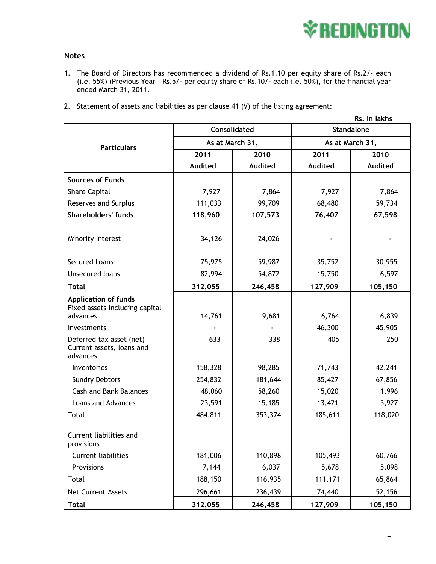

## **Notes**

- 1. The Board of Directors has recommended a dividend of Rs.1.10 per equity share of Rs.2/- each (i.e. 55%) (Previous Year – Rs.5/- per equity share of Rs.10/- each i.e. 50%), for the financial year ended March 31, 2011.
- 2. Statement of assets and liabilities as per clause 41 (V) of the listing agreement:

|                                                       | Rs. In lakhs    |                |                   |         |
|-------------------------------------------------------|-----------------|----------------|-------------------|---------|
| <b>Particulars</b>                                    | Consolidated    |                | <b>Standalone</b> |         |
|                                                       | As at March 31, |                | As at March 31,   |         |
|                                                       | 2011            | 2010           | 2011              | 2010    |
|                                                       | <b>Audited</b>  | <b>Audited</b> | <b>Audited</b>    | Audited |
| <b>Sources of Funds</b>                               |                 |                |                   |         |
| <b>Share Capital</b>                                  | 7,927           | 7,864          | 7,927             | 7,864   |
| <b>Reserves and Surplus</b>                           | 111,033         | 99,709         | 68,480            | 59,734  |
| Shareholders' funds                                   | 118,960         | 107,573        | 76,407            | 67,598  |
|                                                       |                 |                |                   |         |
| Minority Interest                                     | 34,126          | 24,026         |                   |         |
|                                                       |                 |                |                   |         |
| <b>Secured Loans</b>                                  | 75,975          | 59,987         | 35,752            | 30,955  |
| <b>Unsecured loans</b>                                | 82,994          | 54,872         | 15,750            | 6,597   |
| <b>Total</b>                                          | 312,055         | 246,458        | 127,909           | 105,150 |
| <b>Application of funds</b>                           |                 |                |                   |         |
| Fixed assets including capital                        |                 | 9,681          |                   | 6,839   |
| advances                                              | 14,761          |                | 6,764             |         |
| Investments                                           |                 |                | 46,300            | 45,905  |
| Deferred tax asset (net)<br>Current assets, loans and | 633             | 338            | 405               | 250     |
| advances                                              |                 |                |                   |         |
| Inventories                                           | 158,328         | 98,285         | 71,743            | 42,241  |
| <b>Sundry Debtors</b>                                 | 254,832         | 181,644        | 85,427            | 67,856  |
| <b>Cash and Bank Balances</b>                         | 48,060          | 58,260         | 15,020            | 1,996   |
| Loans and Advances                                    | 23,591          | 15,185         | 13,421            | 5,927   |
| Total                                                 | 484,811         | 353,374        | 185,611           | 118,020 |
|                                                       |                 |                |                   |         |
| Current liabilities and<br>provisions                 |                 |                |                   |         |
| <b>Current liabilities</b>                            | 181,006         | 110,898        | 105,493           | 60,766  |
| Provisions                                            | 7,144           | 6,037          | 5,678             | 5,098   |
| Total                                                 | 188,150         | 116,935        | 111,171           | 65,864  |
| <b>Net Current Assets</b>                             | 296,661         | 236,439        | 74,440            | 52,156  |
| <b>Total</b>                                          | 312,055         | 246,458        | 127,909           | 105,150 |